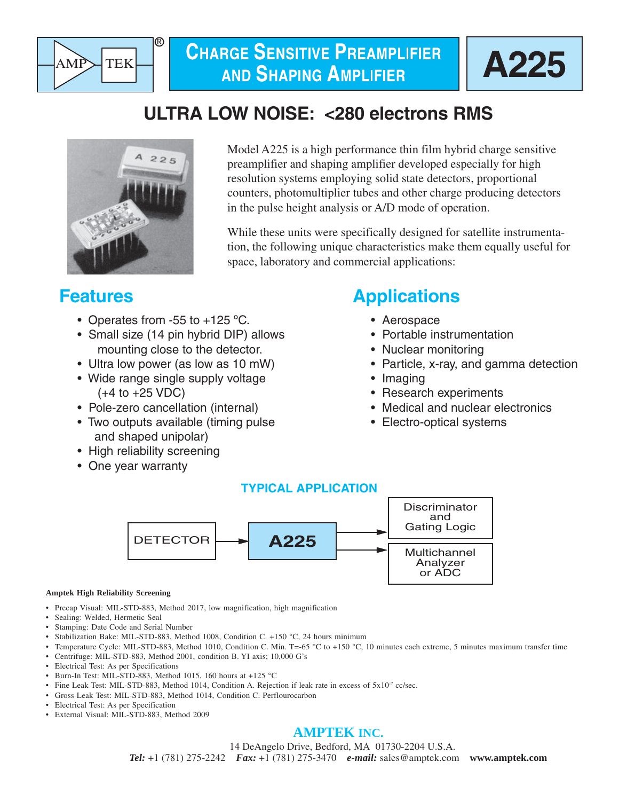



# **ULTRA LOW NOISE: <280 electrons RMS**



Model A225 is a high performance thin film hybrid charge sensitive preamplifier and shaping amplifier developed especially for high resolution systems employing solid state detectors, proportional counters, photomultiplier tubes and other charge producing detectors in the pulse height analysis or A/D mode of operation.

While these units were specifically designed for satellite instrumentation, the following unique characteristics make them equally useful for space, laboratory and commercial applications:

# **Features**

- Operates from -55 to +125 °C.
- Small size (14 pin hybrid DIP) allows mounting close to the detector.
- Ultra low power (as low as 10 mW)
- Wide range single supply voltage  $(+4 \text{ to } +25 \text{ VDC})$
- Pole-zero cancellation (internal)
- Two outputs available (timing pulse and shaped unipolar)
- High reliability screening
- One year warranty

# **Applications**

- Aerospace
- Portable instrumentation
- Nuclear monitoring
- Particle, x-ray, and gamma detection
- Imaging
- Research experiments
- Medical and nuclear electronics
- Electro-optical systems

## **TYPICAL APPLICATION**



#### **Amptek High Reliability Screening**

- Precap Visual: MIL-STD-883, Method 2017, low magnification, high magnification
- Sealing: Welded, Hermetic Seal
- Stamping: Date Code and Serial Number
- Stabilization Bake: MIL-STD-883, Method 1008, Condition C. +150 °C, 24 hours minimum
- Temperature Cycle: MIL-STD-883, Method 1010, Condition C. Min. T=-65 °C to +150 °C, 10 minutes each extreme, 5 minutes maximum transfer time
- Centrifuge: MIL-STD-883, Method 2001, condition B. YI axis; 10,000 G's
- Electrical Test: As per Specifications
- Burn-In Test: MIL-STD-883, Method 1015, 160 hours at +125 °C
- Fine Leak Test: MIL-STD-883, Method 1014, Condition A. Rejection if leak rate in excess of  $5x10^{-7}$  cc/sec.
- Gross Leak Test: MIL-STD-883, Method 1014, Condition C. Perflourocarbon
- Electrical Test: As per Specification
- External Visual: MIL-STD-883, Method 2009

## **AMPTEK INC.**

 14 DeAngelo Drive, Bedford, MA 01730-2204 U.S.A. *Tel:* +1 (781) 275-2242 *Fax:* +1 (781) 275-3470 *e-mail:* sales@amptek.com **www.amptek.com**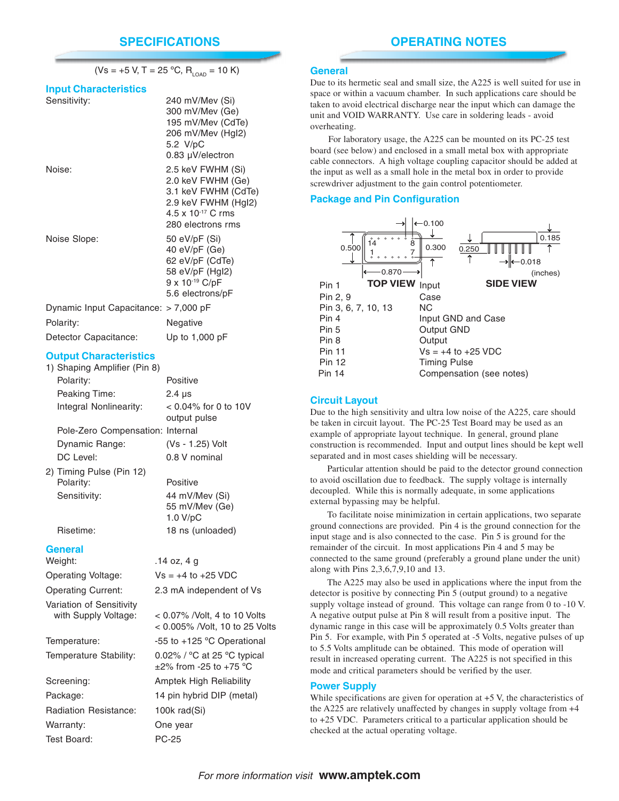|                                                    | $(Vs = +5 V, T = 25 °C, R_{LOAD} = 10 K)$                                                                                      |
|----------------------------------------------------|--------------------------------------------------------------------------------------------------------------------------------|
| <b>Input Characteristics</b>                       |                                                                                                                                |
| Sensitivity:                                       | 240 mV/Mev (Si)<br>300 mV/Mev (Ge)<br>195 mV/Mev (CdTe)<br>206 mV/Mev (HgI2)<br>5.2 V/pC<br>$0.83 \mu V/electron$              |
| Noise:                                             | 2.5 keV FWHM (Si)<br>2.0 keV FWHM (Ge)<br>3.1 keV FWHM (CdTe)<br>2.9 keV FWHM (HgI2)<br>4.5 x 10-17 C rms<br>280 electrons rms |
| Noise Slope:                                       | 50 eV/pF (Si)<br>40 $eV/pF$ (Ge)<br>62 eV/pF (CdTe)<br>58 eV/pF (HgI2)<br>9 x 10-19 C/pF<br>5.6 electrons/pF                   |
| Dynamic Input Capacitance: > 7,000 pF<br>Polarity: | Negative                                                                                                                       |
| Detector Capacitance:                              | Up to 1,000 pF                                                                                                                 |

#### **Output Characteristics**

| 1) Shaping Amplifier (Pin 8)          |                                                                              |  |
|---------------------------------------|------------------------------------------------------------------------------|--|
| Polarity:                             | Positive                                                                     |  |
| Peaking Time:                         | $2.4 \mu s$                                                                  |  |
| Integral Nonlinearity:                | $< 0.04\%$ for 0 to 10V<br>output pulse                                      |  |
| Pole-Zero Compensation: Internal      |                                                                              |  |
| Dynamic Range:                        | (Vs - 1.25) Volt                                                             |  |
| DC Level:                             | 0.8 V nominal                                                                |  |
| 2) Timing Pulse (Pin 12)<br>Polarity: | Positive                                                                     |  |
| Sensitivity:                          | 44 mV/Mev (Si)<br>55 mV/Mev (Ge)<br>1.0 V/pC                                 |  |
| Risetime:                             | 18 ns (unloaded)                                                             |  |
| <b>General</b>                        |                                                                              |  |
| Weight:                               | .14 oz, 4 g                                                                  |  |
| Operating Voltage:                    | $Vs = +4$ to $+25$ VDC                                                       |  |
| <b>Operating Current:</b>             | 2.3 mA independent of Vs                                                     |  |
| Variation of Sensitivity              |                                                                              |  |
| with Supply Voltage:                  | < 0.07% / Volt, 4 to 10 Volts<br>< 0.005% /Volt, 10 to 25 Volts              |  |
| Temperature:                          | -55 to +125 °C Operational                                                   |  |
| Temperature Stability:                | 0.02% / $\degree$ C at 25 $\degree$ C typical<br>$\pm$ 2% from -25 to +75 °C |  |
| Screening:                            | Amptek High Reliability                                                      |  |
| Package:                              | 14 pin hybrid DIP (metal)                                                    |  |
|                                       |                                                                              |  |

Radiation Resistance: 100k rad(Si) Warranty: One year Test Board: PC-25

#### **General**

Due to its hermetic seal and small size, the A225 is well suited for use in space or within a vacuum chamber. In such applications care should be taken to avoid electrical discharge near the input which can damage the unit and VOID WARRANTY. Use care in soldering leads - avoid overheating.

For laboratory usage, the A225 can be mounted on its PC-25 test board (see below) and enclosed in a small metal box with appropriate cable connectors. A high voltage coupling capacitor should be added at the input as well as a small hole in the metal box in order to provide screwdriver adjustment to the gain control potentiometer.

#### **Package and Pin Configuration**

| 0.500<br>0.870           | 0.100<br>0.300      | 0.185<br>0.250<br>0.018<br>(inches) |
|--------------------------|---------------------|-------------------------------------|
| <b>TOP VIEW</b><br>Pin 1 | Input               | <b>SIDE VIEW</b>                    |
| Pin 2, 9                 | Case                |                                     |
| Pin 3, 6, 7, 10, 13      | N <sub>C</sub>      |                                     |
| Pin 4                    |                     | Input GND and Case                  |
| Pin 5                    | Output GND          |                                     |
| Pin 8                    | Output              |                                     |
| <b>Pin 11</b>            |                     | $Vs = +4$ to $+25$ VDC              |
| <b>Pin 12</b>            | <b>Timing Pulse</b> |                                     |
| <b>Pin 14</b>            |                     | Compensation (see notes)            |

#### **Circuit Layout**

Due to the high sensitivity and ultra low noise of the A225, care should be taken in circuit layout. The PC-25 Test Board may be used as an example of appropriate layout technique. In general, ground plane construction is recommended. Input and output lines should be kept well separated and in most cases shielding will be necessary.

Particular attention should be paid to the detector ground connection to avoid oscillation due to feedback. The supply voltage is internally decoupled. While this is normally adequate, in some applications external bypassing may be helpful.

To facilitate noise minimization in certain applications, two separate ground connections are provided. Pin 4 is the ground connection for the input stage and is also connected to the case. Pin 5 is ground for the remainder of the circuit. In most applications Pin 4 and 5 may be connected to the same ground (preferably a ground plane under the unit) along with Pins 2,3,6,7,9,10 and 13.

The A225 may also be used in applications where the input from the detector is positive by connecting Pin 5 (output ground) to a negative supply voltage instead of ground. This voltage can range from 0 to -10 V. A negative output pulse at Pin 8 will result from a positive input. The dynamic range in this case will be approximately 0.5 Volts greater than Pin 5. For example, with Pin 5 operated at -5 Volts, negative pulses of up to 5.5 Volts amplitude can be obtained. This mode of operation will result in increased operating current. The A225 is not specified in this mode and critical parameters should be verified by the user.

#### **Power Supply**

While specifications are given for operation at  $+5$  V, the characteristics of the A225 are relatively unaffected by changes in supply voltage from +4 to +25 VDC. Parameters critical to a particular application should be checked at the actual operating voltage.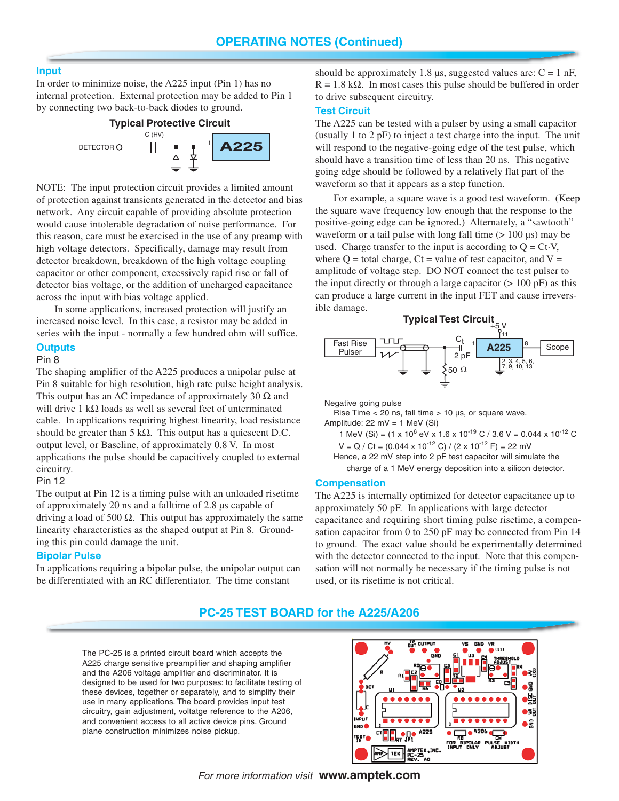#### **Input**

In order to minimize noise, the A225 input (Pin 1) has no internal protection. External protection may be added to Pin 1 by connecting two back-to-back diodes to ground.



NOTE: The input protection circuit provides a limited amount of protection against transients generated in the detector and bias network. Any circuit capable of providing absolute protection would cause intolerable degradation of noise performance. For this reason, care must be exercised in the use of any preamp with high voltage detectors. Specifically, damage may result from detector breakdown, breakdown of the high voltage coupling capacitor or other component, excessively rapid rise or fall of detector bias voltage, or the addition of uncharged capacitance across the input with bias voltage applied.

In some applications, increased protection will justify an increased noise level. In this case, a resistor may be added in series with the input - normally a few hundred ohm will suffice.

## **Outputs**

Pin 8

The shaping amplifier of the A225 produces a unipolar pulse at Pin 8 suitable for high resolution, high rate pulse height analysis. This output has an AC impedance of approximately 30  $\Omega$  and will drive 1 kΩ loads as well as several feet of unterminated cable. In applications requiring highest linearity, load resistance should be greater than 5 k $\Omega$ . This output has a quiescent D.C. output level, or Baseline, of approximately 0.8 V. In most applications the pulse should be capacitively coupled to external circuitry.

#### Pin 12

The output at Pin 12 is a timing pulse with an unloaded risetime of approximately 20 ns and a falltime of 2.8 µs capable of driving a load of 500  $\Omega$ . This output has approximately the same linearity characteristics as the shaped output at Pin 8. Grounding this pin could damage the unit.

#### **Bipolar Pulse**

In applications requiring a bipolar pulse, the unipolar output can be differentiated with an RC differentiator. The time constant

should be approximately 1.8  $\mu$ s, suggested values are: C = 1 nF,  $R = 1.8$  k $\Omega$ . In most cases this pulse should be buffered in order to drive subsequent circuitry.

### **Test Circuit**

The A225 can be tested with a pulser by using a small capacitor (usually 1 to 2 pF) to inject a test charge into the input. The unit will respond to the negative-going edge of the test pulse, which should have a transition time of less than 20 ns. This negative going edge should be followed by a relatively flat part of the waveform so that it appears as a step function.

For example, a square wave is a good test waveform. (Keep the square wave frequency low enough that the response to the positive-going edge can be ignored.) Alternately, a "sawtooth" waveform or a tail pulse with long fall time  $(> 100 \,\mu s)$  may be used. Charge transfer to the input is according to  $Q = CtV$ , where  $Q =$  total charge,  $Ct =$  value of test capacitor, and  $V =$ amplitude of voltage step. DO NOT connect the test pulser to the input directly or through a large capacitor  $(> 100 \text{ pF})$  as this can produce a large current in the input FET and cause irreversible damage.



Negative going pulse

Rise Time  $<$  20 ns, fall time  $>$  10 µs, or square wave. Amplitude: 22 mV = 1 MeV (Si)

- 1 MeV (Si) = (1 x 10<sup>6</sup> eV x 1.6 x 10<sup>-19</sup> C / 3.6 V = 0.044 x 10<sup>-12</sup> C  $V = Q / Ct = (0.044 \times 10^{-12} C) / (2 \times 10^{-12} F) = 22 mV$ 
	- Hence, a 22 mV step into 2 pF test capacitor will simulate the

charge of a 1 MeV energy deposition into a silicon detector.

#### **Compensation**

The A225 is internally optimized for detector capacitance up to approximately 50 pF. In applications with large detector capacitance and requiring short timing pulse risetime, a compensation capacitor from 0 to 250 pF may be connected from Pin 14 to ground. The exact value should be experimentally determined with the detector connected to the input. Note that this compensation will not normally be necessary if the timing pulse is not used, or its risetime is not critical.

### **PC-25 TEST BOARD for the A225/A206**

The PC-25 is a printed circuit board which accepts the A225 charge sensitive preamplifier and shaping amplifier and the A206 voltage amplifier and discriminator. It is designed to be used for two purposes: to facilitate testing of these devices, together or separately, and to simplify their use in many applications. The board provides input test circuitry, gain adjustment, voltatge reference to the A206, and convenient access to all active device pins. Ground plane construction minimizes noise pickup.